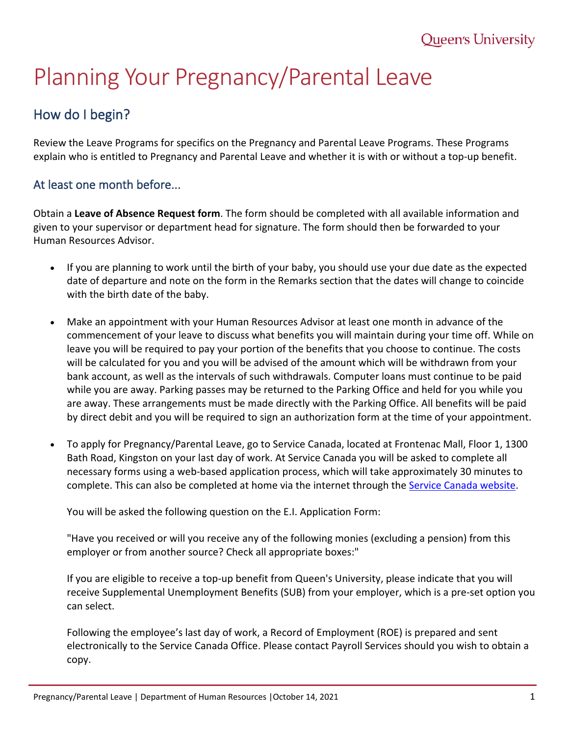# Planning Your Pregnancy/Parental Leave

# How do I begin?

Review the Leave Programs for specifics on the Pregnancy and Parental Leave Programs. These Programs explain who is entitled to Pregnancy and Parental Leave and whether it is with or without a top-up benefit.

# At least one month before...

Obtain a **Leave of Absence Request form**. The form should be completed with all available information and given to your supervisor or department head for signature. The form should then be forwarded to your Human Resources Advisor.

- If you are planning to work until the birth of your baby, you should use your due date as the expected date of departure and note on the form in the Remarks section that the dates will change to coincide with the birth date of the baby.
- Make an appointment with your Human Resources Advisor at least one month in advance of the commencement of your leave to discuss what benefits you will maintain during your time off. While on leave you will be required to pay your portion of the benefits that you choose to continue. The costs will be calculated for you and you will be advised of the amount which will be withdrawn from your bank account, as well as the intervals of such withdrawals. Computer loans must continue to be paid while you are away. Parking passes may be returned to the Parking Office and held for you while you are away. These arrangements must be made directly with the Parking Office. All benefits will be paid by direct debit and you will be required to sign an authorization form at the time of your appointment.
- To apply for Pregnancy/Parental Leave, go to Service Canada, located at Frontenac Mall, Floor 1, 1300 Bath Road, Kingston on your last day of work. At Service Canada you will be asked to complete all necessary forms using a web-based application process, which will take approximately 30 minutes to complete. This can also be completed at home via the internet through the [Service Canada website.](http://www.servicecanada.gc.ca/)

You will be asked the following question on the E.I. Application Form:

"Have you received or will you receive any of the following monies (excluding a pension) from this employer or from another source? Check all appropriate boxes:"

If you are eligible to receive a top-up benefit from Queen's University, please indicate that you will receive Supplemental Unemployment Benefits (SUB) from your employer, which is a pre-set option you can select.

Following the employee's last day of work, a Record of Employment (ROE) is prepared and sent electronically to the Service Canada Office. Please contact Payroll Services should you wish to obtain a copy.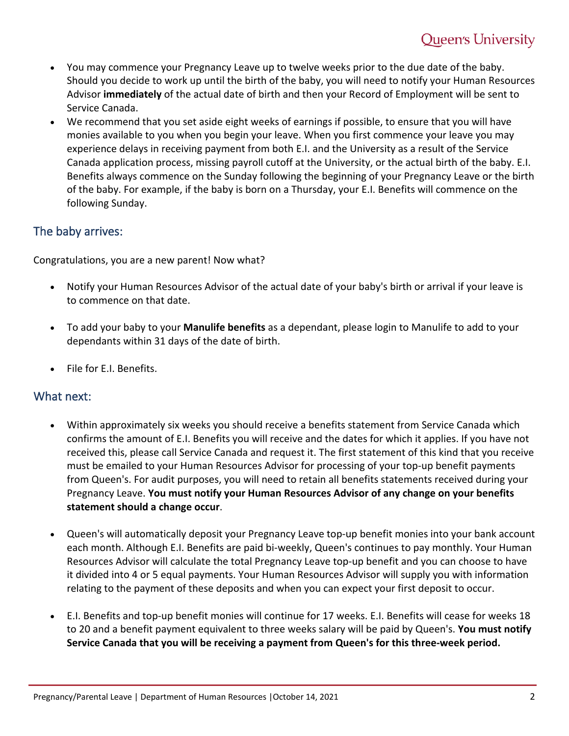- You may commence your Pregnancy Leave up to twelve weeks prior to the due date of the baby. Should you decide to work up until the birth of the baby, you will need to notify your Human Resources Advisor **immediately** of the actual date of birth and then your Record of Employment will be sent to Service Canada.
- We recommend that you set aside eight weeks of earnings if possible, to ensure that you will have monies available to you when you begin your leave. When you first commence your leave you may experience delays in receiving payment from both E.I. and the University as a result of the Service Canada application process, missing payroll cutoff at the University, or the actual birth of the baby. E.I. Benefits always commence on the Sunday following the beginning of your Pregnancy Leave or the birth of the baby. For example, if the baby is born on a Thursday, your E.I. Benefits will commence on the following Sunday.

## The baby arrives:

Congratulations, you are a new parent! Now what?

- Notify your Human Resources Advisor of the actual date of your baby's birth or arrival if your leave is to commence on that date.
- To add your baby to your **Manulife benefits** as a dependant, please login to Manulife to add to your dependants within 31 days of the date of birth.
- File for E.I. Benefits.

#### What next:

- Within approximately six weeks you should receive a benefits statement from Service Canada which confirms the amount of E.I. Benefits you will receive and the dates for which it applies. If you have not received this, please call Service Canada and request it. The first statement of this kind that you receive must be emailed to your Human Resources Advisor for processing of your top-up benefit payments from Queen's. For audit purposes, you will need to retain all benefits statements received during your Pregnancy Leave. **You must notify your Human Resources Advisor of any change on your benefits statement should a change occur**.
- Queen's will automatically deposit your Pregnancy Leave top-up benefit monies into your bank account each month. Although E.I. Benefits are paid bi-weekly, Queen's continues to pay monthly. Your Human Resources Advisor will calculate the total Pregnancy Leave top-up benefit and you can choose to have it divided into 4 or 5 equal payments. Your Human Resources Advisor will supply you with information relating to the payment of these deposits and when you can expect your first deposit to occur.
- E.I. Benefits and top-up benefit monies will continue for 17 weeks. E.I. Benefits will cease for weeks 18 to 20 and a benefit payment equivalent to three weeks salary will be paid by Queen's. **You must notify Service Canada that you will be receiving a payment from Queen's for this three-week period.**